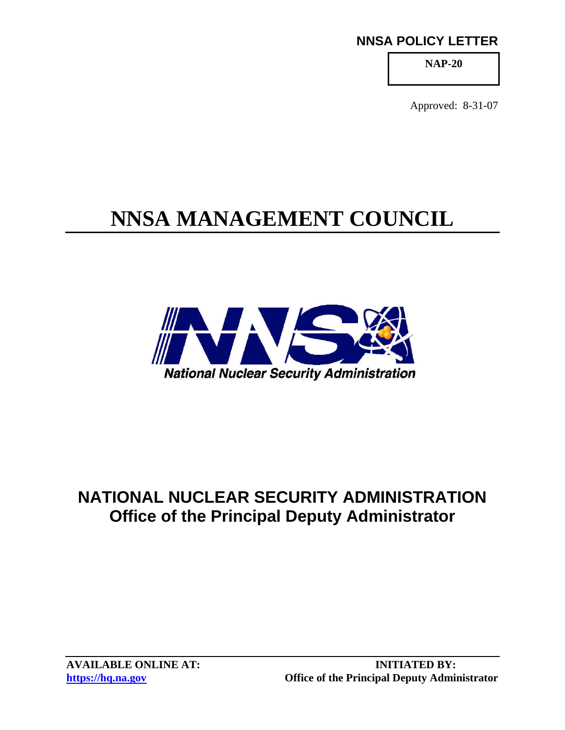### **NNSA POLICY LETTER**

**NAP-20** 

Approved: 8-31-07

# **NNSA MANAGEMENT COUNCIL**



## **NATIONAL NUCLEAR SECURITY ADMINISTRATION Office of the Principal Deputy Administrator**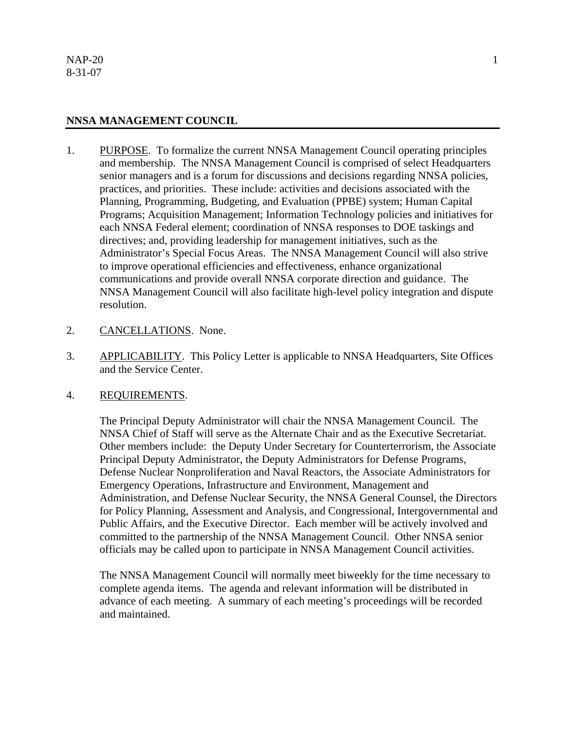#### **NNSA MANAGEMENT COUNCIL**

- 1. PURPOSE. To formalize the current NNSA Management Council operating principles and membership. The NNSA Management Council is comprised of select Headquarters senior managers and is a forum for discussions and decisions regarding NNSA policies, practices, and priorities. These include: activities and decisions associated with the Planning, Programming, Budgeting, and Evaluation (PPBE) system; Human Capital Programs; Acquisition Management; Information Technology policies and initiatives for each NNSA Federal element; coordination of NNSA responses to DOE taskings and directives; and, providing leadership for management initiatives, such as the Administrator's Special Focus Areas. The NNSA Management Council will also strive to improve operational efficiencies and effectiveness, enhance organizational communications and provide overall NNSA corporate direction and guidance. The NNSA Management Council will also facilitate high-level policy integration and dispute resolution.
- 2. CANCELLATIONS. None.
- 3. APPLICABILITY. This Policy Letter is applicable to NNSA Headquarters, Site Offices and the Service Center.

#### 4. REQUIREMENTS.

The Principal Deputy Administrator will chair the NNSA Management Council. The NNSA Chief of Staff will serve as the Alternate Chair and as the Executive Secretariat. Other members include: the Deputy Under Secretary for Counterterrorism, the Associate Principal Deputy Administrator, the Deputy Administrators for Defense Programs, Defense Nuclear Nonproliferation and Naval Reactors, the Associate Administrators for Emergency Operations, Infrastructure and Environment, Management and Administration, and Defense Nuclear Security, the NNSA General Counsel, the Directors for Policy Planning, Assessment and Analysis, and Congressional, Intergovernmental and Public Affairs, and the Executive Director. Each member will be actively involved and committed to the partnership of the NNSA Management Council. Other NNSA senior officials may be called upon to participate in NNSA Management Council activities.

The NNSA Management Council will normally meet biweekly for the time necessary to complete agenda items. The agenda and relevant information will be distributed in advance of each meeting. A summary of each meeting's proceedings will be recorded and maintained.